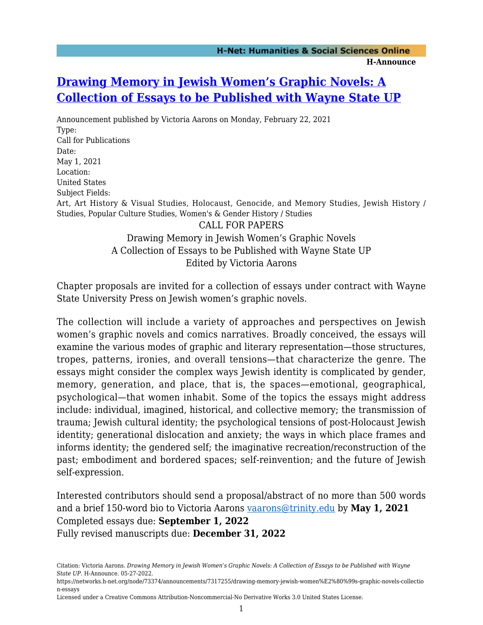## **[Drawing Memory in Jewish Women's Graphic Novels: A](https://networks.h-net.org/node/73374/announcements/7317255/drawing-memory-jewish-women%E2%80%99s-graphic-novels-collection-essays) [Collection of Essays to be Published with Wayne State UP](https://networks.h-net.org/node/73374/announcements/7317255/drawing-memory-jewish-women%E2%80%99s-graphic-novels-collection-essays)**

Announcement published by Victoria Aarons on Monday, February 22, 2021 Type: Call for Publications Date: May 1, 2021 Location: United States Subject Fields: Art, Art History & Visual Studies, Holocaust, Genocide, and Memory Studies, Jewish History / Studies, Popular Culture Studies, Women's & Gender History / Studies CALL FOR PAPERS Drawing Memory in Jewish Women's Graphic Novels A Collection of Essays to be Published with Wayne State UP

Edited by Victoria Aarons

Chapter proposals are invited for a collection of essays under contract with Wayne State University Press on Jewish women's graphic novels.

The collection will include a variety of approaches and perspectives on Jewish women's graphic novels and comics narratives. Broadly conceived, the essays will examine the various modes of graphic and literary representation—those structures, tropes, patterns, ironies, and overall tensions—that characterize the genre. The essays might consider the complex ways Jewish identity is complicated by gender, memory, generation, and place, that is, the spaces—emotional, geographical, psychological—that women inhabit. Some of the topics the essays might address include: individual, imagined, historical, and collective memory; the transmission of trauma; Jewish cultural identity; the psychological tensions of post-Holocaust Jewish identity; generational dislocation and anxiety; the ways in which place frames and informs identity; the gendered self; the imaginative recreation/reconstruction of the past; embodiment and bordered spaces; self-reinvention; and the future of Jewish self-expression.

Interested contributors should send a proposal/abstract of no more than 500 words and a brief 150-word bio to Victoria Aarons [vaarons@trinity.edu](mailto:vaarons@trinity.edu) by **May 1, 2021** Completed essays due: **September 1, 2022** Fully revised manuscripts due: **December 31, 2022**

Citation: Victoria Aarons. *Drawing Memory in Jewish Women's Graphic Novels: A Collection of Essays to be Published with Wayne State UP*. H-Announce. 05-27-2022.

https://networks.h-net.org/node/73374/announcements/7317255/drawing-memory-jewish-women%E2%80%99s-graphic-novels-collectio n-essays

Licensed under a Creative Commons Attribution-Noncommercial-No Derivative Works 3.0 United States License.